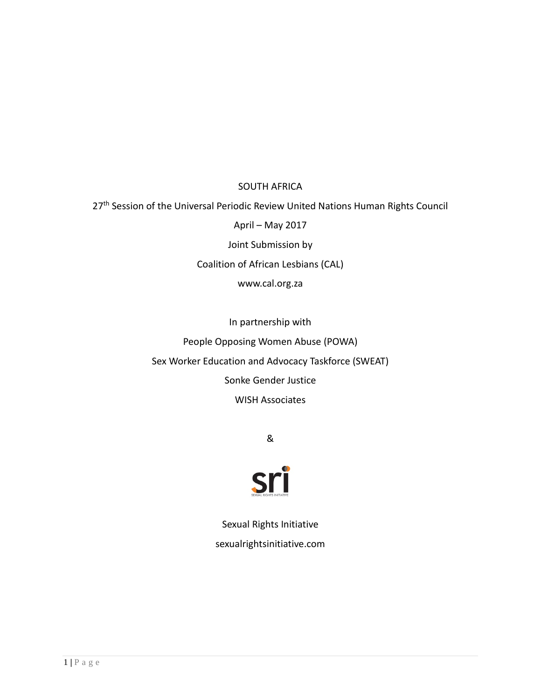# SOUTH AFRICA

27<sup>th</sup> Session of the Universal Periodic Review United Nations Human Rights Council

April – May 2017

Joint Submission by

Coalition of African Lesbians (CAL)

www.cal.org.za

In partnership with People Opposing Women Abuse (POWA) Sex Worker Education and Advocacy Taskforce (SWEAT) Sonke Gender Justice WISH Associates

&



Sexual Rights Initiative sexualrightsinitiative.com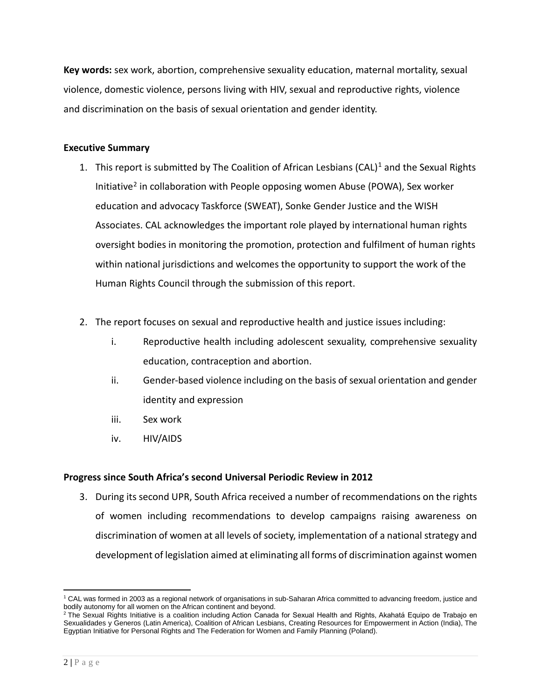**Key words:** sex work, abortion, comprehensive sexuality education, maternal mortality, sexual violence, domestic violence, persons living with HIV, sexual and reproductive rights, violence and discrimination on the basis of sexual orientation and gender identity.

# **Executive Summary**

- [1](#page-1-0). This report is submitted by The Coalition of African Lesbians (CAL)<sup>1</sup> and the Sexual Rights Initiative<sup>[2](#page-1-1)</sup> in collaboration with People opposing women Abuse (POWA), Sex worker education and advocacy Taskforce (SWEAT), Sonke Gender Justice and the WISH Associates. CAL acknowledges the important role played by international human rights oversight bodies in monitoring the promotion, protection and fulfilment of human rights within national jurisdictions and welcomes the opportunity to support the work of the Human Rights Council through the submission of this report.
- 2. The report focuses on sexual and reproductive health and justice issues including:
	- i. Reproductive health including adolescent sexuality, comprehensive sexuality education, contraception and abortion.
	- ii. Gender-based violence including on the basis of sexual orientation and gender identity and expression
	- iii. Sex work
	- iv. HIV/AIDS

# **Progress since South Africa's second Universal Periodic Review in 2012**

3. During its second UPR, South Africa received a number of recommendations on the rights of women including recommendations to develop campaigns raising awareness on discrimination of women at all levels of society, implementation of a national strategy and development of legislation aimed at eliminating all forms of discrimination against women

<span id="page-1-0"></span> $\overline{a}$ <sup>1</sup> CAL was formed in 2003 as a regional network of organisations in sub-Saharan Africa committed to advancing freedom, justice and bodily autonomy for all women on the African continent and beyond.

<span id="page-1-1"></span> $^2$  The Sexual Rights Initiative is a coalition including Action Canada for Sexual Health and Rights, Akahatá Equipo de Trabajo en Sexualidades y Generos (Latin America), Coalition of African Lesbians, Creating Resources for Empowerment in Action (India), The Egyptian Initiative for Personal Rights and The Federation for Women and Family Planning (Poland).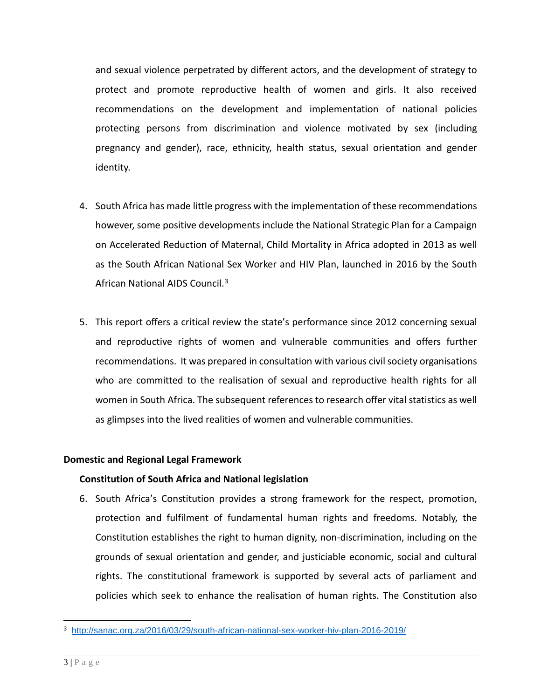and sexual violence perpetrated by different actors, and the development of strategy to protect and promote reproductive health of women and girls. It also received recommendations on the development and implementation of national policies protecting persons from discrimination and violence motivated by sex (including pregnancy and gender), race, ethnicity, health status, sexual orientation and gender identity.

- 4. South Africa has made little progress with the implementation of these recommendations however, some positive developments include the National Strategic Plan for a Campaign on Accelerated Reduction of Maternal, Child Mortality in Africa adopted in 2013 as well as the South African National Sex Worker and HIV Plan, launched in 2016 by the South African National AIDS Council.[3](#page-2-0)
- 5. This report offers a critical review the state's performance since 2012 concerning sexual and reproductive rights of women and vulnerable communities and offers further recommendations. It was prepared in consultation with various civil society organisations who are committed to the realisation of sexual and reproductive health rights for all women in South Africa. The subsequent references to research offer vital statistics as well as glimpses into the lived realities of women and vulnerable communities.

# **Domestic and Regional Legal Framework**

# **Constitution of South Africa and National legislation**

6. South Africa's Constitution provides a strong framework for the respect, promotion, protection and fulfilment of fundamental human rights and freedoms. Notably, the Constitution establishes the right to human dignity, non-discrimination, including on the grounds of sexual orientation and gender, and justiciable economic, social and cultural rights. The constitutional framework is supported by several acts of parliament and policies which seek to enhance the realisation of human rights. The Constitution also

<span id="page-2-0"></span> $\overline{a}$ <sup>3</sup> <http://sanac.org.za/2016/03/29/south-african-national-sex-worker-hiv-plan-2016-2019/>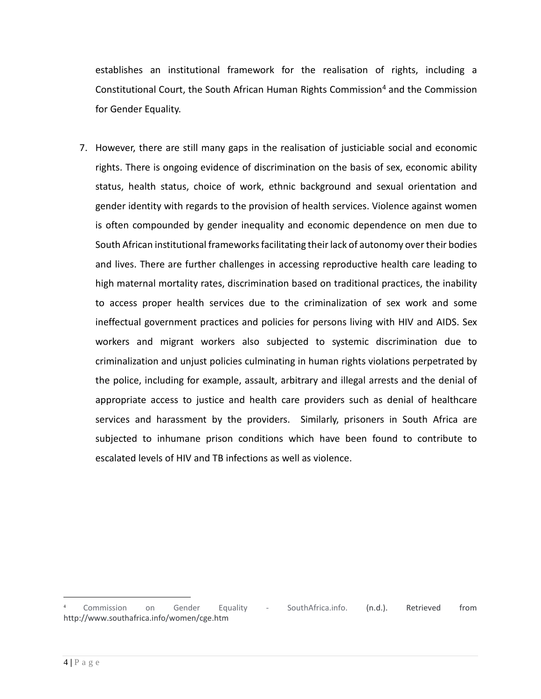establishes an institutional framework for the realisation of rights, including a Constitutional Court, the South African Human Rights Commission<sup>[4](#page-3-0)</sup> and the Commission for Gender Equality.

7. However, there are still many gaps in the realisation of justiciable social and economic rights. There is ongoing evidence of discrimination on the basis of sex, economic ability status, health status, choice of work, ethnic background and sexual orientation and gender identity with regards to the provision of health services. Violence against women is often compounded by gender inequality and economic dependence on men due to South African institutional frameworks facilitating their lack of autonomy over their bodies and lives. There are further challenges in accessing reproductive health care leading to high maternal mortality rates, discrimination based on traditional practices, the inability to access proper health services due to the criminalization of sex work and some ineffectual government practices and policies for persons living with HIV and AIDS. Sex workers and migrant workers also subjected to systemic discrimination due to criminalization and unjust policies culminating in human rights violations perpetrated by the police, including for example, assault, arbitrary and illegal arrests and the denial of appropriate access to justice and health care providers such as denial of healthcare services and harassment by the providers. Similarly, prisoners in South Africa are subjected to inhumane prison conditions which have been found to contribute to escalated levels of HIV and TB infections as well as violence.

 $\overline{a}$ 

<span id="page-3-0"></span><sup>4</sup> Commission on Gender Equality - SouthAfrica.info. (n.d.). Retrieved from http://www.southafrica.info/women/cge.htm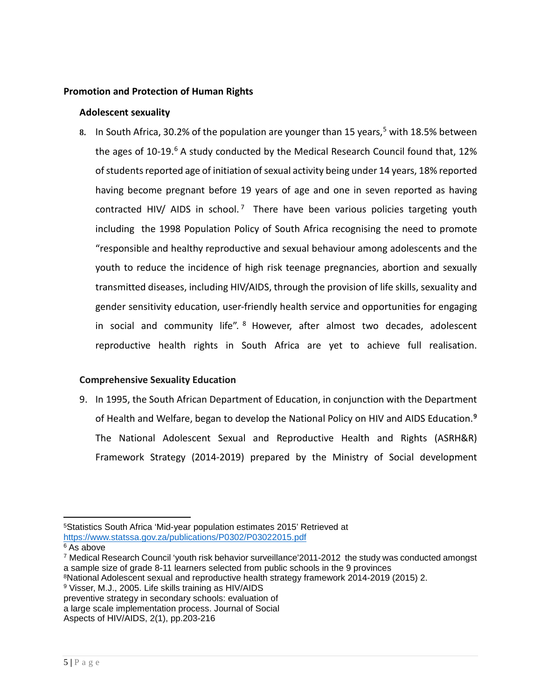## **Promotion and Protection of Human Rights**

#### **Adolescent sexuality**

8. In South Africa, 30.2% of the population are younger than 1[5](#page-4-0) years, <sup>5</sup> with 18.5% between the ages of 10-19. $6$  A study conducted by the Medical Research Council found that, 12% of students reported age of initiation of sexual activity being under 14 years, 18% reported having become pregnant before 19 years of age and one in seven reported as having contracted HIV/ AIDS in school.<sup>7</sup> There have been various policies targeting youth including the 1998 Population Policy of South Africa recognising the need to promote "responsible and healthy reproductive and sexual behaviour among adolescents and the youth to reduce the incidence of high risk teenage pregnancies, abortion and sexually transmitted diseases, including HIV/AIDS, through the provision of life skills, sexuality and gender sensitivity education, user-friendly health service and opportunities for engaging in social and community life". <sup>8</sup> However, after almost two decades, adolescent reproductive health rights in South Africa are yet to achieve full realisation.

# **Comprehensive Sexuality Education**

9. In 1995, the South African Department of Education, in conjunction with the Department of Health and Welfare, began to develop the National Policy on HIV and AIDS Education.**[9](#page-4-4)** The National Adolescent Sexual and Reproductive Health and Rights (ASRH&R) Framework Strategy (2014-2019) prepared by the Ministry of Social development

<span id="page-4-0"></span> $\overline{a}$ 5Statistics South Africa 'Mid-year population estimates 2015' Retrieved at <https://www.statssa.gov.za/publications/P0302/P03022015.pdf>

<span id="page-4-1"></span><sup>6</sup> As above

<span id="page-4-2"></span><sup>7</sup> Medical Research Council 'youth risk behavior surveillance'2011-2012 the study was conducted amongst a sample size of grade 8-11 learners selected from public schools in the 9 provinces

<span id="page-4-3"></span><sup>8</sup>National Adolescent sexual and reproductive health strategy framework 2014-2019 (2015) 2.

<span id="page-4-4"></span><sup>9</sup> Visser, M.J., 2005. Life skills training as HIV/AIDS

preventive strategy in secondary schools: evaluation of

a large scale implementation process. Journal of Social

Aspects of HIV/AIDS, 2(1), pp.203-216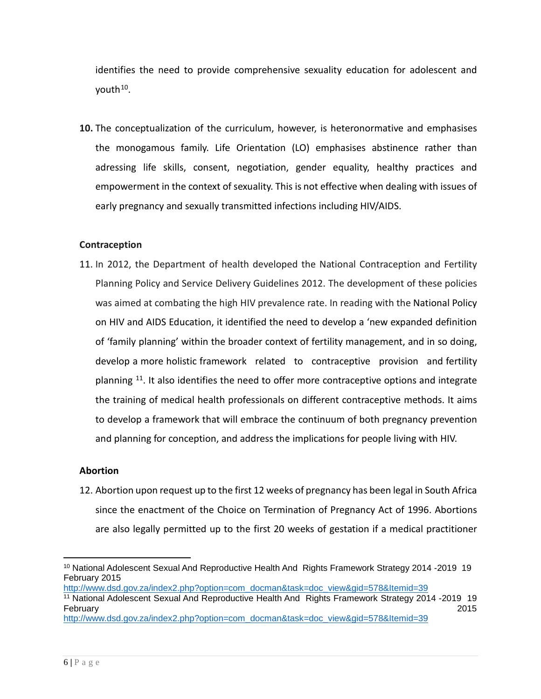identifies the need to provide comprehensive sexuality education for adolescent and vouth $10$ .

**10.** The conceptualization of the curriculum, however, is heteronormative and emphasises the monogamous family. Life Orientation (LO) emphasises abstinence rather than adressing life skills, consent, negotiation, gender equality, healthy practices and empowerment in the context of sexuality. This is not effective when dealing with issues of early pregnancy and sexually transmitted infections including HIV/AIDS.

# **Contraception**

11. In 2012, the Department of health developed the National Contraception and Fertility Planning Policy and Service Delivery Guidelines 2012. The development of these policies was aimed at combating the high HIV prevalence rate. In reading with the National Policy on HIV and AIDS Education, it identified the need to develop a 'new expanded definition of 'family planning' within the broader context of fertility management, and in so doing, develop a more holistic framework related to contraceptive provision and fertility planning  $11$ . It also identifies the need to offer more contraceptive options and integrate the training of medical health professionals on different contraceptive methods. It aims to develop a framework that will embrace the continuum of both pregnancy prevention and planning for conception, and address the implications for people living with HIV.

# **Abortion**

12. Abortion upon request up to the first 12 weeks of pregnancy has been legal in South Africa since the enactment of the Choice on Termination of Pregnancy Act of 1996. Abortions are also legally permitted up to the first 20 weeks of gestation if a medical practitioner

[http://www.dsd.gov.za/index2.php?option=com\\_docman&task=doc\\_view&gid=578&Itemid=39](http://www.dsd.gov.za/index2.php?option=com_docman&task=doc_view&gid=578&Itemid=39)

<span id="page-5-0"></span> $\overline{a}$ <sup>10</sup> National Adolescent Sexual And Reproductive Health And Rights Framework Strategy 2014 -2019 19 February 2015

<span id="page-5-1"></span><sup>11</sup> National Adolescent Sexual And Reproductive Health And Rights Framework Strategy 2014 -2019 19 February 2015

[http://www.dsd.gov.za/index2.php?option=com\\_docman&task=doc\\_view&gid=578&Itemid=39](http://www.dsd.gov.za/index2.php?option=com_docman&task=doc_view&gid=578&Itemid=39)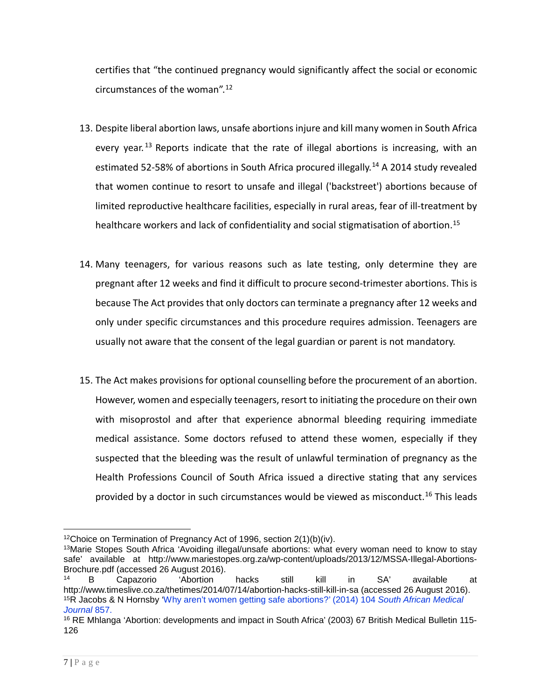certifies that "the continued pregnancy would significantly affect the social or economic circumstances of the woman".[12](#page-6-0)

- 13. Despite liberal abortion laws, unsafe abortions injure and kill many women in South Africa every year.<sup>[13](#page-6-1)</sup> Reports indicate that the rate of illegal abortions is increasing, with an estimated 52-58% of abortions in South Africa procured illegally.<sup>[14](#page-6-2)</sup> A 2014 study revealed that women continue to resort to unsafe and illegal ('backstreet') abortions because of limited reproductive healthcare facilities, especially in rural areas, fear of ill-treatment by healthcare workers and lack of confidentiality and social stigmatisation of abortion.<sup>[15](#page-6-3)</sup>
- 14. Many teenagers, for various reasons such as late testing, only determine they are pregnant after 12 weeks and find it difficult to procure second-trimester abortions. This is because The Act provides that only doctors can terminate a pregnancy after 12 weeks and only under specific circumstances and this procedure requires admission. Teenagers are usually not aware that the consent of the legal guardian or parent is not mandatory.
- 15. The Act makes provisions for optional counselling before the procurement of an abortion. However, women and especially teenagers, resort to initiating the procedure on their own with misoprostol and after that experience abnormal bleeding requiring immediate medical assistance. Some doctors refused to attend these women, especially if they suspected that the bleeding was the result of unlawful termination of pregnancy as the Health Professions Council of South Africa issued a directive stating that any services provided by a doctor in such circumstances would be viewed as misconduct.<sup>[16](#page-6-4)</sup> This leads

 $\overline{a}$ 12Choice on Termination of Pregnancy Act of 1996, section 2(1)(b)(iv).

<span id="page-6-1"></span><span id="page-6-0"></span><sup>13</sup>Marie Stopes South Africa 'Avoiding illegal/unsafe abortions: what every woman need to know to stay safe' available at [http://www.mariestopes.org.za/wp-content/uploads/2013/12/MSSA-Illegal-Abortions-](http://www.mariestopes.org.za/wp-content/uploads/2013/12/MSSA-Illegal-Abortions-Brochure.pdf)[Brochure.pdf](http://www.mariestopes.org.za/wp-content/uploads/2013/12/MSSA-Illegal-Abortions-Brochure.pdf) (accessed 26 August 2016).<br><sup>14</sup> B Capazorio 'Abortion

<span id="page-6-3"></span><span id="page-6-2"></span><sup>14</sup> B Capazorio 'Abortion hacks still kill in SA' available at <http://www.timeslive.co.za/thetimes/2014/07/14/abortion-hacks-still-kill-in-sa> (accessed 26 August 2016). 15R Jacobs & N Hornsby 'Why aren't women getting safe abortions?' (2014) 104 *South African Medical Journal* 857.

<span id="page-6-4"></span><sup>16</sup> RE Mhlanga 'Abortion: developments and impact in South Africa' (2003) 67 British Medical Bulletin 115- 126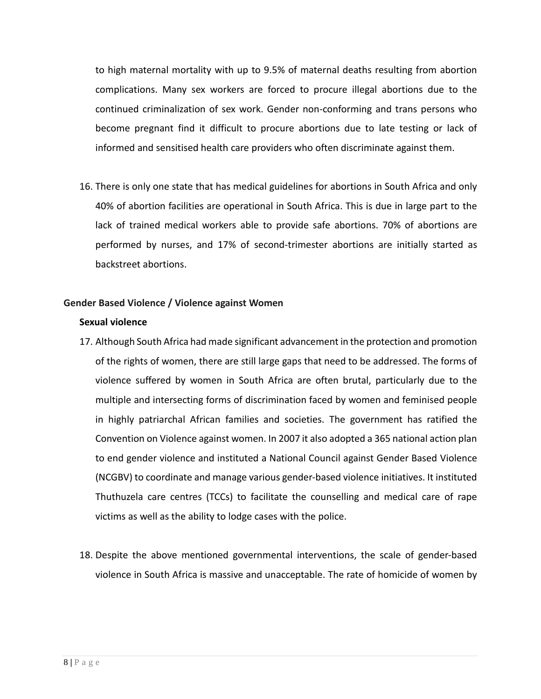to high maternal mortality with up to 9.5% of maternal deaths resulting from abortion complications. Many sex workers are forced to procure illegal abortions due to the continued criminalization of sex work. Gender non-conforming and trans persons who become pregnant find it difficult to procure abortions due to late testing or lack of informed and sensitised health care providers who often discriminate against them.

16. There is only one state that has medical guidelines for abortions in South Africa and only 40% of abortion facilities are operational in South Africa. This is due in large part to the lack of trained medical workers able to provide safe abortions. 70% of abortions are performed by nurses, and 17% of second-trimester abortions are initially started as backstreet abortions.

# **Gender Based Violence / Violence against Women**

## **Sexual violence**

- 17. Although South Africa had made significant advancement in the protection and promotion of the rights of women, there are still large gaps that need to be addressed. The forms of violence suffered by women in South Africa are often brutal, particularly due to the multiple and intersecting forms of discrimination faced by women and feminised people in highly patriarchal African families and societies. The government has ratified the Convention on Violence against women. In 2007 it also adopted a 365 national action plan to end gender violence and instituted a National Council against Gender Based Violence (NCGBV) to coordinate and manage various gender-based violence initiatives. It instituted Thuthuzela care centres (TCCs) to facilitate the counselling and medical care of rape victims as well as the ability to lodge cases with the police.
- 18. Despite the above mentioned governmental interventions, the scale of gender-based violence in South Africa is massive and unacceptable. The rate of homicide of women by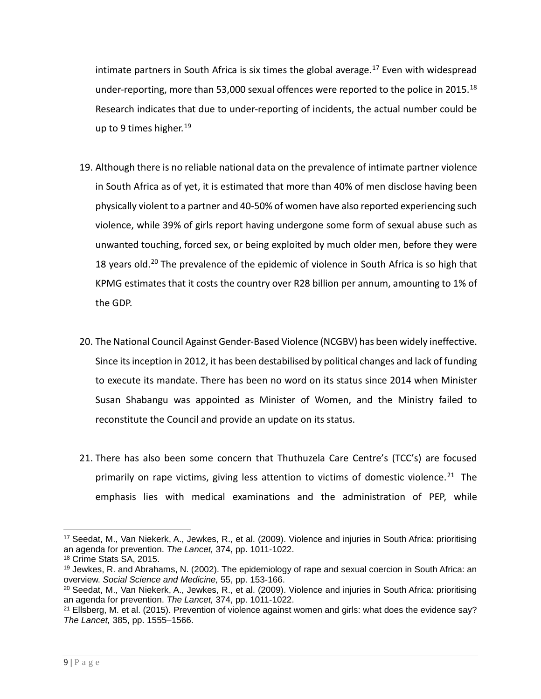intimate partners in South Africa is six times the global average.<sup>[17](#page-8-0)</sup> Even with widespread under-reporting, more than 53,000 sexual offences were reported to the police in 2015. $^{18}$  $^{18}$  $^{18}$ Research indicates that due to under-reporting of incidents, the actual number could be up to 9 times higher.<sup>[19](#page-8-2)</sup>

- 19. Although there is no reliable national data on the prevalence of intimate partner violence in South Africa as of yet, it is estimated that more than 40% of men disclose having been physically violent to a partner and 40-50% of women have also reported experiencing such violence, while 39% of girls report having undergone some form of sexual abuse such as unwanted touching, forced sex, or being exploited by much older men, before they were 18 years old.<sup>[20](#page-8-3)</sup> The prevalence of the epidemic of violence in South Africa is so high that KPMG estimates that it costs the country over R28 billion per annum, amounting to 1% of the GDP.
- 20. The National Council Against Gender-Based Violence (NCGBV) has been widely ineffective. Since its inception in 2012, it has been destabilised by political changes and lack of funding to execute its mandate. There has been no word on its status since 2014 when Minister Susan Shabangu was appointed as Minister of Women, and the Ministry failed to reconstitute the Council and provide an update on its status.
- 21. There has also been some concern that Thuthuzela Care Centre's (TCC's) are focused primarily on rape victims, giving less attention to victims of domestic violence.<sup>[21](#page-8-4)</sup> The emphasis lies with medical examinations and the administration of PEP, while

<span id="page-8-0"></span> $\overline{a}$ <sup>17</sup> Seedat, M., Van Niekerk, A., Jewkes, R., et al. (2009). Violence and injuries in South Africa: prioritising an agenda for prevention. *The Lancet,* 374, pp. 1011-1022.

<span id="page-8-1"></span><sup>18</sup> Crime Stats SA, 2015.

<span id="page-8-2"></span><sup>19</sup> Jewkes, R. and Abrahams, N. (2002). The epidemiology of rape and sexual coercion in South Africa: an overview. *Social Science and Medicine,* 55, pp. 153-166.

<span id="page-8-3"></span><sup>20</sup> Seedat, M., Van Niekerk, A., Jewkes, R., et al. (2009). Violence and injuries in South Africa: prioritising an agenda for prevention. *The Lancet,* 374, pp. 1011-1022.

<span id="page-8-4"></span> $21$  Ellsberg, M. et al. (2015). Prevention of violence against women and girls: what does the evidence say? *The Lancet,* 385, pp. 1555–1566.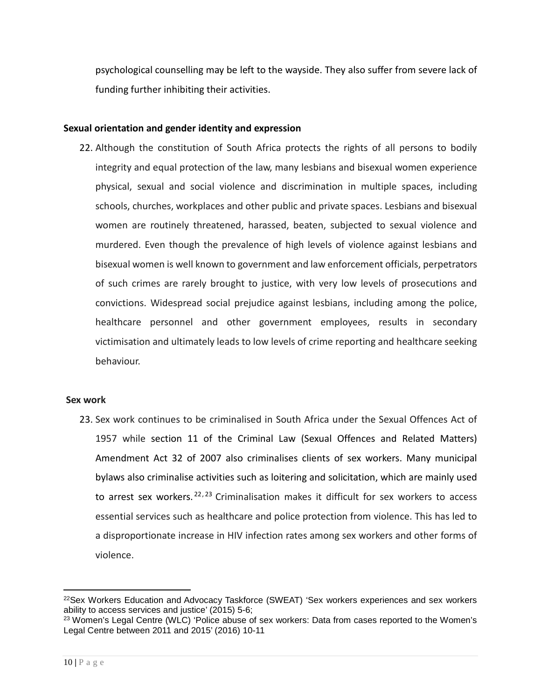psychological counselling may be left to the wayside. They also suffer from severe lack of funding further inhibiting their activities.

### **Sexual orientation and gender identity and expression**

22. Although the constitution of South Africa protects the rights of all persons to bodily integrity and equal protection of the law, many lesbians and bisexual women experience physical, sexual and social violence and discrimination in multiple spaces, including schools, churches, workplaces and other public and private spaces. Lesbians and bisexual women are routinely threatened, harassed, beaten, subjected to sexual violence and murdered. Even though the prevalence of high levels of violence against lesbians and bisexual women is well known to government and law enforcement officials, perpetrators of such crimes are rarely brought to justice, with very low levels of prosecutions and convictions. Widespread social prejudice against lesbians, including among the police, healthcare personnel and other government employees, results in secondary victimisation and ultimately leads to low levels of crime reporting and healthcare seeking behaviour.

#### **Sex work**

23. Sex work continues to be criminalised in South Africa under the Sexual Offences Act of 1957 while section 11 of the Criminal Law (Sexual Offences and Related Matters) Amendment Act 32 of 2007 also criminalises clients of sex workers. Many municipal bylaws also criminalise activities such as loitering and solicitation, which are mainly used to arrest sex workers.<sup>[22](#page-9-0),[23](#page-9-1)</sup> Criminalisation makes it difficult for sex workers to access essential services such as healthcare and police protection from violence. This has led to a disproportionate increase in HIV infection rates among sex workers and other forms of violence.

 $\overline{a}$ 

<span id="page-9-0"></span><sup>22</sup>Sex Workers Education and Advocacy Taskforce (SWEAT) 'Sex workers experiences and sex workers ability to access services and justice' (2015) 5-6;

<span id="page-9-1"></span><sup>&</sup>lt;sup>23</sup> Women's Legal Centre (WLC) 'Police abuse of sex workers: Data from cases reported to the Women's Legal Centre between 2011 and 2015' (2016) 10-11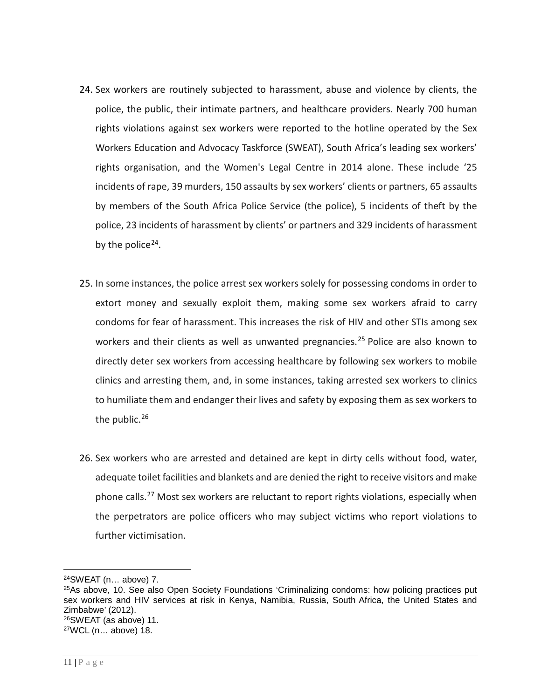- 24. Sex workers are routinely subjected to harassment, abuse and violence by clients, the police, the public, their intimate partners, and healthcare providers. Nearly 700 human rights violations against sex workers were reported to the hotline operated by the Sex Workers Education and Advocacy Taskforce (SWEAT), South Africa's leading sex workers' rights organisation, and the Women's Legal Centre in 2014 alone. These include '25 incidents of rape, 39 murders, 150 assaults by sex workers' clients or partners, 65 assaults by members of the South Africa Police Service (the police), 5 incidents of theft by the police, 23 incidents of harassment by clients' or partners and 329 incidents of harassment by the police<sup>[24](#page-10-0)</sup>.
- 25. In some instances, the police arrest sex workers solely for possessing condoms in order to extort money and sexually exploit them, making some sex workers afraid to carry condoms for fear of harassment. This increases the risk of HIV and other STIs among sex workers and their clients as well as unwanted pregnancies.<sup>[25](#page-10-1)</sup> Police are also known to directly deter sex workers from accessing healthcare by following sex workers to mobile clinics and arresting them, and, in some instances, taking arrested sex workers to clinics to humiliate them and endanger their lives and safety by exposing them as sex workers to the public.<sup>[26](#page-10-2)</sup>
- 26. Sex workers who are arrested and detained are kept in dirty cells without food, water, adequate toilet facilities and blankets and are denied the right to receive visitors and make phone calls.<sup>[27](#page-10-3)</sup> Most sex workers are reluctant to report rights violations, especially when the perpetrators are police officers who may subject victims who report violations to further victimisation.

 $\overline{a}$ 

<span id="page-10-0"></span><sup>24</sup>SWEAT (n… above) 7.

<span id="page-10-3"></span><span id="page-10-2"></span><span id="page-10-1"></span><sup>25</sup>As above, 10. See also Open Society Foundations 'Criminalizing condoms: how policing practices put sex workers and HIV services at risk in Kenya, Namibia, Russia, South Africa, the United States and Zimbabwe' (2012). 26SWEAT (as above) 11. 27WCL (n… above) 18.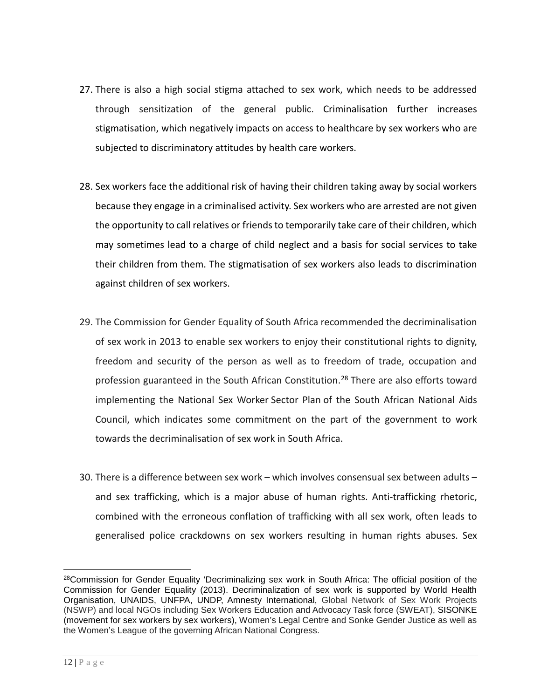- 27. There is also a high social stigma attached to sex work, which needs to be addressed through sensitization of the general public. Criminalisation further increases stigmatisation, which negatively impacts on access to healthcare by sex workers who are subjected to discriminatory attitudes by health care workers.
- 28. Sex workers face the additional risk of having their children taking away by social workers because they engage in a criminalised activity. Sex workers who are arrested are not given the opportunity to call relatives or friends to temporarily take care of their children, which may sometimes lead to a charge of child neglect and a basis for social services to take their children from them. The stigmatisation of sex workers also leads to discrimination against children of sex workers.
- 29. The Commission for Gender Equality of South Africa recommended the decriminalisation of sex work in 2013 to enable sex workers to enjoy their constitutional rights to dignity, freedom and security of the person as well as to freedom of trade, occupation and profession guaranteed in the South African Constitution.<sup>[28](#page-11-0)</sup> There are also efforts toward implementing the National Sex Worker Sector Plan of the South African National Aids Council, which indicates some commitment on the part of the government to work towards the decriminalisation of sex work in South Africa.
- 30. There is a difference between sex work which involves consensual sex between adults and sex trafficking, which is a major abuse of human rights. Anti-trafficking rhetoric, combined with the erroneous conflation of trafficking with all sex work, often leads to generalised police crackdowns on sex workers resulting in human rights abuses. Sex

<span id="page-11-0"></span> $\overline{a}$ <sup>28</sup>Commission for Gender Equality 'Decriminalizing sex work in South Africa: The official position of the Commission for Gender Equality (2013). Decriminalization of sex work is supported by World Health Organisation, UNAIDS, UNFPA, UNDP, Amnesty International, Global Network of Sex Work Projects (NSWP) and local NGOs including Sex Workers Education and Advocacy Task force (SWEAT), SISONKE (movement for sex workers by sex workers), Women's Legal Centre and Sonke Gender Justice as well as the Women's League of the governing African National Congress.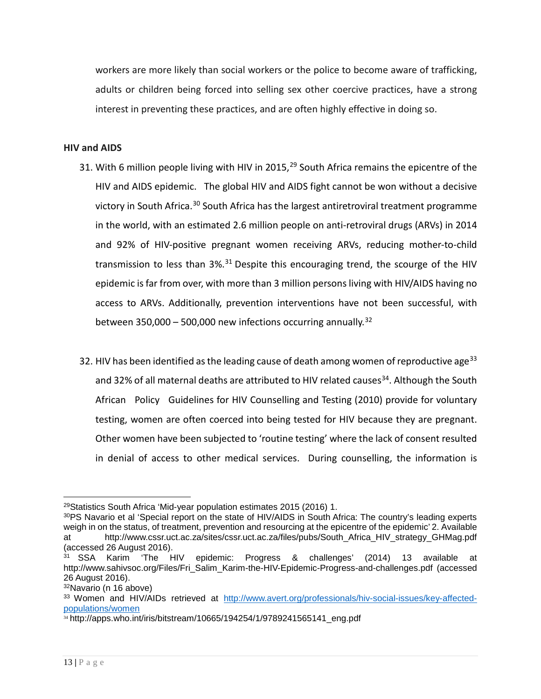workers are more likely than social workers or the police to become aware of trafficking, adults or children being forced into selling sex other coercive practices, have a strong interest in preventing these practices, and are often highly effective in doing so.

## **HIV and AIDS**

- 31. With 6 million people living with HIV in 2015,  $29$  South Africa remains the epicentre of the HIV and AIDS epidemic. The global HIV and AIDS fight cannot be won without a decisive victory in South Africa.[30](#page-12-1) South Africa has the largest antiretroviral treatment programme in the world, with an estimated 2.6 million people on anti-retroviral drugs (ARVs) in 2014 and 92% of HIV-positive pregnant women receiving ARVs, reducing mother-to-child transmission to less than  $3\frac{1}{3}$  Despite this encouraging trend, the scourge of the HIV epidemic is far from over, with more than 3 million persons living with HIV/AIDS having no access to ARVs. Additionally, prevention interventions have not been successful, with between 350,000 – 500,000 new infections occurring annually.<sup>[32](#page-12-3)</sup>
- 32. HIV has been identified as the leading cause of death among women of reproductive age<sup>[33](#page-12-4)</sup> and 32% of all maternal deaths are attributed to HIV related causes<sup>[34](#page-12-5)</sup>. Although the South African Policy Guidelines for HIV Counselling and Testing (2010) provide for voluntary testing, women are often coerced into being tested for HIV because they are pregnant. Other women have been subjected to 'routine testing' where the lack of consent resulted in denial of access to other medical services. During counselling, the information is

<span id="page-12-0"></span> $\overline{a}$ 29Statistics South Africa 'Mid-year population estimates 2015 (2016) 1.

<span id="page-12-1"></span><sup>30</sup>PS Navario et al 'Special report on the state of HIV/AIDS in South Africa: The country's leading experts weigh in on the status, of treatment, prevention and resourcing at the epicentre of the epidemic' 2. Available at [http://www.cssr.uct.ac.za/sites/cssr.uct.ac.za/files/pubs/South\\_Africa\\_HIV\\_strategy\\_GHMag.pdf](http://www.cssr.uct.ac.za/sites/cssr.uct.ac.za/files/pubs/South_Africa_HIV_strategy_GHMag.pdf) (accessed 26 August 2016).

<span id="page-12-2"></span><sup>31</sup> SSA Karim 'The HIV epidemic: Progress & challenges' (2014) 13 available at [http://www.sahivsoc.org/Files/Fri\\_Salim\\_Karim-the-HIV-Epidemic-Progress-and-challenges.pdf](http://www.sahivsoc.org/Files/Fri_Salim_Karim-the-HIV-Epidemic-Progress-and-challenges.pdf) (accessed 26 August 2016).

<span id="page-12-3"></span><sup>32</sup>Navario (n 16 above)

<span id="page-12-4"></span><sup>33</sup> Women and HIV/AIDs retrieved at [http://www.avert.org/professionals/hiv-social-issues/key-affected](http://www.avert.org/professionals/hiv-social-issues/key-affected-populations/women)[populations/women](http://www.avert.org/professionals/hiv-social-issues/key-affected-populations/women)

<span id="page-12-5"></span> $34$  http://apps.who.int/iris/bitstream/10665/194254/1/9789241565141\_eng.pdf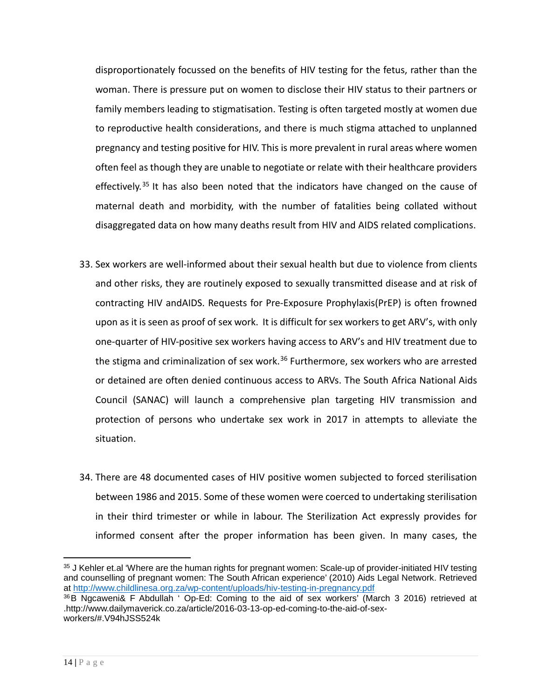disproportionately focussed on the benefits of HIV testing for the fetus, rather than the woman. There is pressure put on women to disclose their HIV status to their partners or family members leading to stigmatisation. Testing is often targeted mostly at women due to reproductive health considerations, and there is much stigma attached to unplanned pregnancy and testing positive for HIV. This is more prevalent in rural areas where women often feel as though they are unable to negotiate or relate with their healthcare providers effectively.<sup>[35](#page-13-0)</sup> It has also been noted that the indicators have changed on the cause of maternal death and morbidity, with the number of fatalities being collated without disaggregated data on how many deaths result from HIV and AIDS related complications.

- 33. Sex workers are well-informed about their sexual health but due to violence from clients and other risks, they are routinely exposed to sexually transmitted disease and at risk of contracting HIV andAIDS. Requests for Pre-Exposure Prophylaxis(PrEP) is often frowned upon as it is seen as proof of sex work. It is difficult for sex workers to get ARV's, with only one-quarter of HIV-positive sex workers having access to ARV's and HIV treatment due to the stigma and criminalization of sex work.<sup>[36](#page-13-1)</sup> Furthermore, sex workers who are arrested or detained are often denied continuous access to ARVs. The South Africa National Aids Council (SANAC) will launch a comprehensive plan targeting HIV transmission and protection of persons who undertake sex work in 2017 in attempts to alleviate the situation.
- 34. There are 48 documented cases of HIV positive women subjected to forced sterilisation between 1986 and 2015. Some of these women were coerced to undertaking sterilisation in their third trimester or while in labour. The Sterilization Act expressly provides for informed consent after the proper information has been given. In many cases, the

<span id="page-13-0"></span> $\overline{a}$ <sup>35</sup> J Kehler et.al 'Where are the human rights for pregnant women: Scale-up of provider-initiated HIV testing and counselling of pregnant women: The South African experience' (2010) Aids Legal Network. Retrieved at<http://www.childlinesa.org.za/wp-content/uploads/hiv-testing-in-pregnancy.pdf>

<span id="page-13-1"></span><sup>36</sup> B Ngcaweni& F Abdullah ' Op-Ed: Coming to the aid of sex workers' (March 3 2016) retrieved at .http://www.dailymaverick.co.za/article/2016-03-13-op-ed-coming-to-the-aid-of-sexworkers/#.V94hJSS524k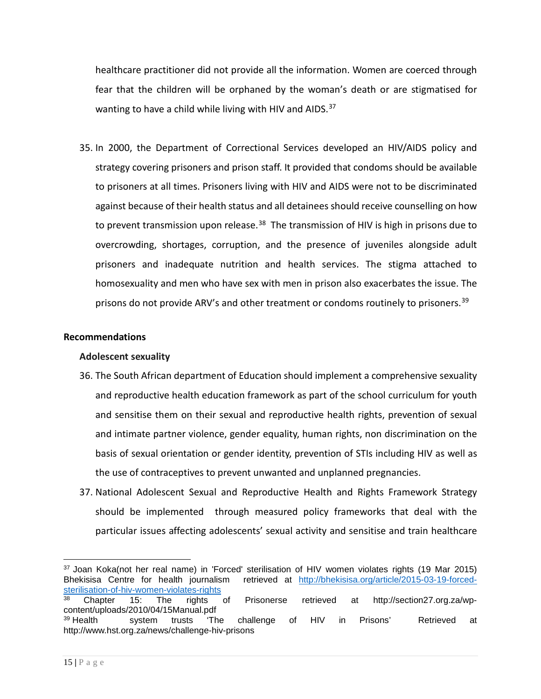healthcare practitioner did not provide all the information. Women are coerced through fear that the children will be orphaned by the woman's death or are stigmatised for wanting to have a child while living with HIV and AIDS.<sup>[37](#page-14-0)</sup>

35. In 2000, the Department of Correctional Services developed an HIV/AIDS policy and strategy covering prisoners and prison staff. It provided that condoms should be available to prisoners at all times. Prisoners living with HIV and AIDS were not to be discriminated against because of their health status and all detainees should receive counselling on how to prevent transmission upon release.<sup>38</sup> The transmission of HIV is high in prisons due to overcrowding, shortages, corruption, and the presence of juveniles alongside adult prisoners and inadequate nutrition and health services. The stigma attached to homosexuality and men who have sex with men in prison also exacerbates the issue. The prisons do not provide ARV's and other treatment or condoms routinely to prisoners.<sup>39</sup>

# **Recommendations**

#### **Adolescent sexuality**

- 36. The South African department of Education should implement a comprehensive sexuality and reproductive health education framework as part of the school curriculum for youth and sensitise them on their sexual and reproductive health rights, prevention of sexual and intimate partner violence, gender equality, human rights, non discrimination on the basis of sexual orientation or gender identity, prevention of STIs including HIV as well as the use of contraceptives to prevent unwanted and unplanned pregnancies.
- 37. National Adolescent Sexual and Reproductive Health and Rights Framework Strategy should be implemented through measured policy frameworks that deal with the particular issues affecting adolescents' sexual activity and sensitise and train healthcare

<span id="page-14-0"></span> $\overline{a}$ 37 Joan Koka(not her real name) in 'Forced' sterilisation of HIV women violates rights (19 Mar 2015) Bhekisisa Centre for health journalism retrieved at [http://bhekisisa.org/article/2015-03-19-forced](http://bhekisisa.org/article/2015-03-19-forced-sterilisation-of-hiv-women-violates-rights)[sterilisation-of-hiv-women-violates-rights](http://bhekisisa.org/article/2015-03-19-forced-sterilisation-of-hiv-women-violates-rights)

<span id="page-14-1"></span><sup>38</sup> Chapter 15: The rights of Prisonerse retrieved at http://section27.org.za/wpcontent/uploads/2010/04/15Manual.pdf

<span id="page-14-2"></span><sup>39</sup> Health system trusts 'The challenge of HIV in Prisons' Retrieved at http://www.hst.org.za/news/challenge-hiv-prisons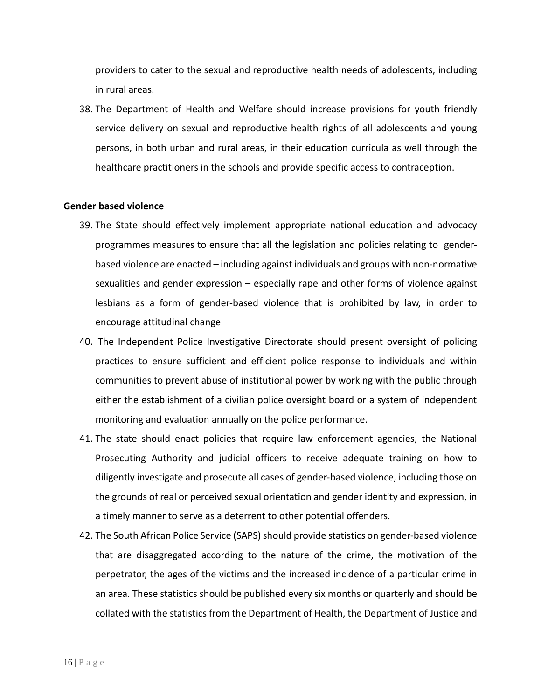providers to cater to the sexual and reproductive health needs of adolescents, including in rural areas.

38. The Department of Health and Welfare should increase provisions for youth friendly service delivery on sexual and reproductive health rights of all adolescents and young persons, in both urban and rural areas, in their education curricula as well through the healthcare practitioners in the schools and provide specific access to contraception.

#### **Gender based violence**

- 39. The State should effectively implement appropriate national education and advocacy programmes measures to ensure that all the legislation and policies relating to genderbased violence are enacted – including against individuals and groups with non-normative sexualities and gender expression – especially rape and other forms of violence against lesbians as a form of gender-based violence that is prohibited by law, in order to encourage attitudinal change
- 40. The Independent Police Investigative Directorate should present oversight of policing practices to ensure sufficient and efficient police response to individuals and within communities to prevent abuse of institutional power by working with the public through either the establishment of a civilian police oversight board or a system of independent monitoring and evaluation annually on the police performance.
- 41. The state should enact policies that require law enforcement agencies, the National Prosecuting Authority and judicial officers to receive adequate training on how to diligently investigate and prosecute all cases of gender-based violence, including those on the grounds of real or perceived sexual orientation and gender identity and expression, in a timely manner to serve as a deterrent to other potential offenders.
- 42. The South African Police Service (SAPS) should provide statistics on gender-based violence that are disaggregated according to the nature of the crime, the motivation of the perpetrator, the ages of the victims and the increased incidence of a particular crime in an area. These statistics should be published every six months or quarterly and should be collated with the statistics from the Department of Health, the Department of Justice and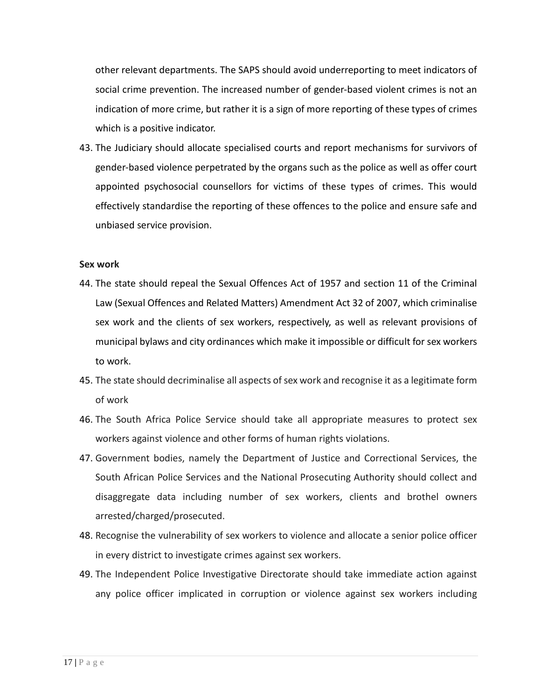other relevant departments. The SAPS should avoid underreporting to meet indicators of social crime prevention. The increased number of gender-based violent crimes is not an indication of more crime, but rather it is a sign of more reporting of these types of crimes which is a positive indicator.

43. The Judiciary should allocate specialised courts and report mechanisms for survivors of gender-based violence perpetrated by the organs such as the police as well as offer court appointed psychosocial counsellors for victims of these types of crimes. This would effectively standardise the reporting of these offences to the police and ensure safe and unbiased service provision.

## **Sex work**

- 44. The state should repeal the Sexual Offences Act of 1957 and section 11 of the Criminal Law (Sexual Offences and Related Matters) Amendment Act 32 of 2007, which criminalise sex work and the clients of sex workers, respectively, as well as relevant provisions of municipal bylaws and city ordinances which make it impossible or difficult for sex workers to work.
- 45. The state should decriminalise all aspects of sex work and recognise it as a legitimate form of work
- 46. The South Africa Police Service should take all appropriate measures to protect sex workers against violence and other forms of human rights violations.
- 47. Government bodies, namely the Department of Justice and Correctional Services, the South African Police Services and the National Prosecuting Authority should collect and disaggregate data including number of sex workers, clients and brothel owners arrested/charged/prosecuted.
- 48. Recognise the vulnerability of sex workers to violence and allocate a senior police officer in every district to investigate crimes against sex workers.
- 49. The Independent Police Investigative Directorate should take immediate action against any police officer implicated in corruption or violence against sex workers including